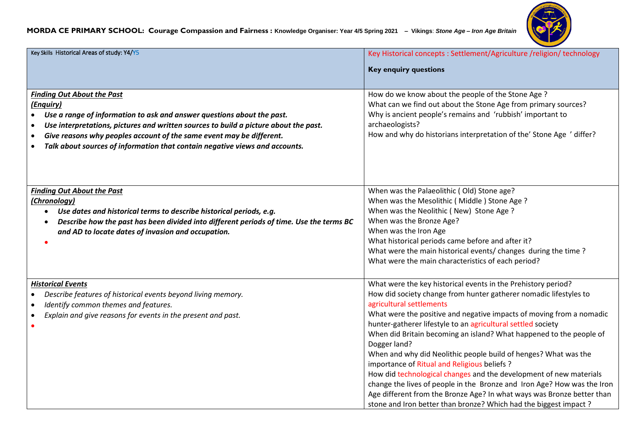#### **MORDA CE PRIMARY SCHOOL: Courage Compassion and Fairness : Knowledge Organiser: Year 4/5 Spring 2021 – Vikings**: *Stone Age – Iron Age Britain*



| Key Skills Historical Areas of study: Y4/Y5                                                                                                                                                                                                                                                                                                                                                       | Key Historical concepts : Settlement/Agriculture /religion/ technology                                                                                                                                                                                                                                                                                                                                                                                                                                                                                                                                                                                                                                                                                                                                          |
|---------------------------------------------------------------------------------------------------------------------------------------------------------------------------------------------------------------------------------------------------------------------------------------------------------------------------------------------------------------------------------------------------|-----------------------------------------------------------------------------------------------------------------------------------------------------------------------------------------------------------------------------------------------------------------------------------------------------------------------------------------------------------------------------------------------------------------------------------------------------------------------------------------------------------------------------------------------------------------------------------------------------------------------------------------------------------------------------------------------------------------------------------------------------------------------------------------------------------------|
|                                                                                                                                                                                                                                                                                                                                                                                                   | <b>Key enquiry questions</b>                                                                                                                                                                                                                                                                                                                                                                                                                                                                                                                                                                                                                                                                                                                                                                                    |
|                                                                                                                                                                                                                                                                                                                                                                                                   |                                                                                                                                                                                                                                                                                                                                                                                                                                                                                                                                                                                                                                                                                                                                                                                                                 |
| <b>Finding Out About the Past</b><br>(Enquiry)<br>Use a range of information to ask and answer questions about the past.<br>Use interpretations, pictures and written sources to build a picture about the past.<br>$\bullet$<br>Give reasons why peoples account of the same event may be different.<br>$\bullet$<br>Talk about sources of information that contain negative views and accounts. | How do we know about the people of the Stone Age?<br>What can we find out about the Stone Age from primary sources?<br>Why is ancient people's remains and 'rubbish' important to<br>archaeologists?<br>How and why do historians interpretation of the' Stone Age ' differ?                                                                                                                                                                                                                                                                                                                                                                                                                                                                                                                                    |
| <b>Finding Out About the Past</b><br>(Chronology)<br>Use dates and historical terms to describe historical periods, e.g.<br>Describe how the past has been divided into different periods of time. Use the terms BC<br>and AD to locate dates of invasion and occupation.                                                                                                                         | When was the Palaeolithic (Old) Stone age?<br>When was the Mesolithic (Middle) Stone Age?<br>When was the Neolithic (New) Stone Age?<br>When was the Bronze Age?<br>When was the Iron Age<br>What historical periods came before and after it?<br>What were the main historical events/ changes during the time?<br>What were the main characteristics of each period?                                                                                                                                                                                                                                                                                                                                                                                                                                          |
| <b>Historical Events</b><br>Describe features of historical events beyond living memory.<br>Identify common themes and features.<br>Explain and give reasons for events in the present and past.                                                                                                                                                                                                  | What were the key historical events in the Prehistory period?<br>How did society change from hunter gatherer nomadic lifestyles to<br>agricultural settlements<br>What were the positive and negative impacts of moving from a nomadic<br>hunter-gatherer lifestyle to an agricultural settled society<br>When did Britain becoming an island? What happened to the people of<br>Dogger land?<br>When and why did Neolithic people build of henges? What was the<br>importance of Ritual and Religious beliefs ?<br>How did technological changes and the development of new materials<br>change the lives of people in the Bronze and Iron Age? How was the Iron<br>Age different from the Bronze Age? In what ways was Bronze better than<br>stone and Iron better than bronze? Which had the biggest impact? |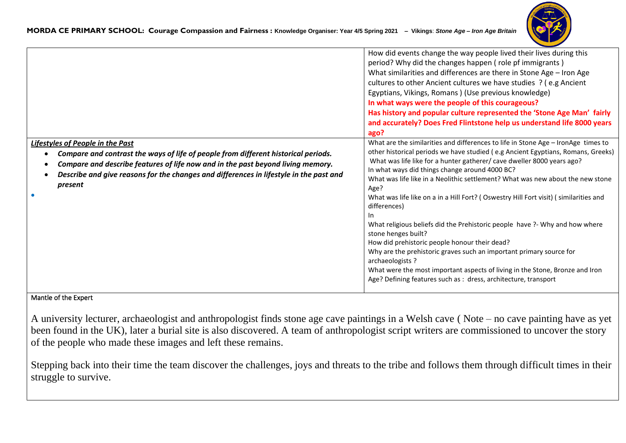

|                                                                                                                                                                                                                                                                                                                                    | How did events change the way people lived their lives during this<br>period? Why did the changes happen (role pf immigrants)<br>What similarities and differences are there in Stone Age - Iron Age<br>cultures to other Ancient cultures we have studies ? (e.g Ancient<br>Egyptians, Vikings, Romans ) (Use previous knowledge)<br>In what ways were the people of this courageous?<br>Has history and popular culture represented the 'Stone Age Man' fairly<br>and accurately? Does Fred Flintstone help us understand life 8000 years<br>ago?                                                                                                                                                                                                                                                                                                                                                            |
|------------------------------------------------------------------------------------------------------------------------------------------------------------------------------------------------------------------------------------------------------------------------------------------------------------------------------------|----------------------------------------------------------------------------------------------------------------------------------------------------------------------------------------------------------------------------------------------------------------------------------------------------------------------------------------------------------------------------------------------------------------------------------------------------------------------------------------------------------------------------------------------------------------------------------------------------------------------------------------------------------------------------------------------------------------------------------------------------------------------------------------------------------------------------------------------------------------------------------------------------------------|
| <b>Lifestyles of People in the Past</b><br>Compare and contrast the ways of life of people from different historical periods.<br>$\bullet$<br>Compare and describe features of life now and in the past beyond living memory.<br>Describe and give reasons for the changes and differences in lifestyle in the past and<br>present | What are the similarities and differences to life in Stone Age - IronAge times to<br>other historical periods we have studied (e.g Ancient Egyptians, Romans, Greeks)<br>What was life like for a hunter gatherer/ cave dweller 8000 years ago?<br>In what ways did things change around 4000 BC?<br>What was life like in a Neolithic settlement? What was new about the new stone<br>Age?<br>What was life like on a in a Hill Fort? (Oswestry Hill Fort visit) (similarities and<br>differences)<br>In<br>What religious beliefs did the Prehistoric people have ?- Why and how where<br>stone henges built?<br>How did prehistoric people honour their dead?<br>Why are the prehistoric graves such an important primary source for<br>archaeologists ?<br>What were the most important aspects of living in the Stone, Bronze and Iron<br>Age? Defining features such as : dress, architecture, transport |

#### Mantle of the Expert

A university lecturer, archaeologist and anthropologist finds stone age cave paintings in a Welsh cave ( Note – no cave painting have as yet been found in the UK), later a burial site is also discovered. A team of anthropologist script writers are commissioned to uncover the story of the people who made these images and left these remains.

Stepping back into their time the team discover the challenges, joys and threats to the tribe and follows them through difficult times in their struggle to survive.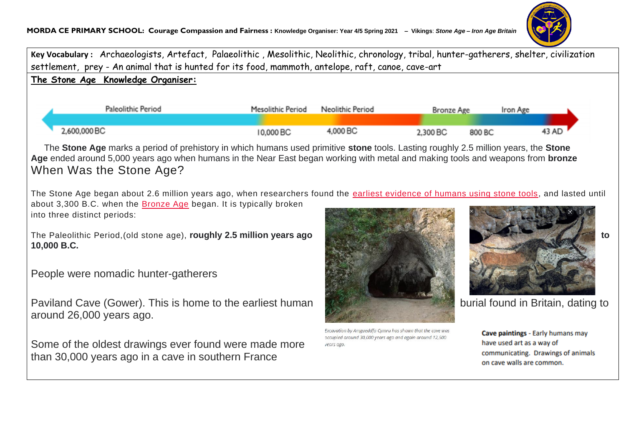

**Key Vocabulary :** Archaeologists, Artefact, Palaeolithic , Mesolithic, Neolithic, chronology, tribal, hunter-gatherers, shelter, civilization settlement, prey - An animal that is hunted for its food, mammoth, antelope, raft, canoe, cave-art **The Stone Age Knowledge Organiser:** Paleolithic Period Mesolithic Period Neolithic Period **Bronze Age** Iron Age 2,600,000 BC 4.000 BC 10,000 BC 2.300 BC 800 BC 43 AD The **Stone Age** marks a period of prehistory in which humans used primitive **stone** tools. Lasting roughly 2.5 million years, the **Stone Age** ended around 5,000 years ago when humans in the Near East began working with metal and making tools and weapons from **bronze** When Was the Stone Age? The Stone Age began about 2.6 million years ago, when researchers found the [earliest evidence of humans using stone tools,](https://www.history.com/news/hunter-gatherer-tools-breakthroughs) and lasted until about 3,300 B.C. when the [Bronze Age](https://www.history.com/topics/bronze-age) began. It is typically broken into three distinct periods: The Paleolithic Period, (old stone age), **roughly 2.5 million years ago** to **the contract of the contract of the contract of the contract of the contract of the contract of the contract of the contract of the contract of t 10,000 B.C.** People were nomadic hunter-gatherers Paviland Cave (Gower). This is home to the earliest human burial found in Britain, dating to around 26,000 years ago. Excavation by Amgueddfa Cymru has shown that the cave was Cave paintings - Early humans may occupied around 30,000 years ago and again around 12,500 have used art as a way of Some of the oldest drawings ever found were made more years ago communicating. Drawings of animals than 30,000 years ago in a cave in southern France on cave walls are common.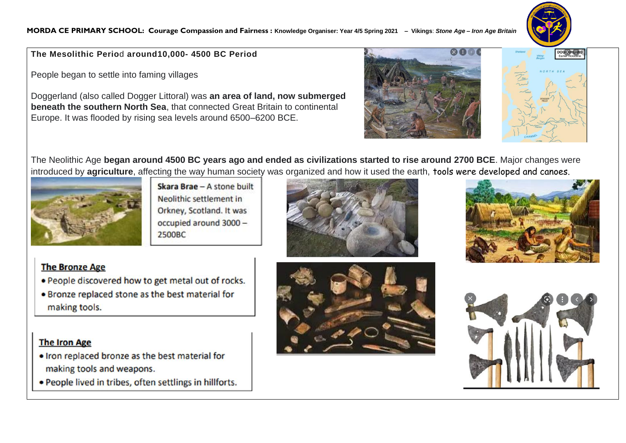

**The Mesolithic Perio**d **around10,000- 4500 BC Period**

People began to settle into faming villages

Doggerland (also called Dogger Littoral) was **an area of land, now submerged beneath the southern North Sea**, that connected Great Britain to continental Europe. It was flooded by rising sea levels around 6500–6200 BCE.





The Neolithic Age **began around 4500 BC years ago and ended as civilizations started to rise around 2700 BCE**. Major changes were introduced by **agriculture**, affecting the way human society was organized and how it used the earth, tools were developed and canoes.



Skara Brae - A stone built Neolithic settlement in Orkney, Scotland. It was occupied around 3000 -2500BC





## **The Bronze Age**

- . People discovered how to get metal out of rocks.
- . Bronze replaced stone as the best material for making tools.

### **The Iron Age**

- . Iron replaced bronze as the best material for making tools and weapons.
- . People lived in tribes, often settlings in hillforts.